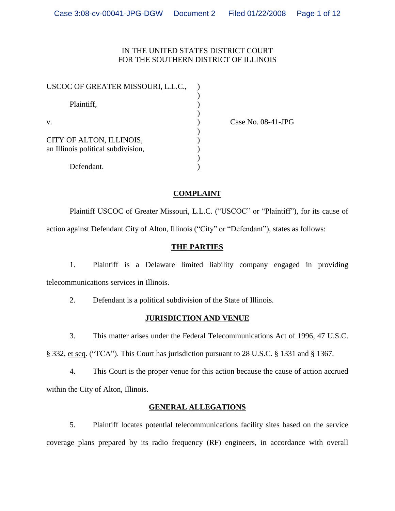## IN THE UNITED STATES DISTRICT COURT FOR THE SOUTHERN DISTRICT OF ILLINOIS

| USCOC OF GREATER MISSOURI, L.L.C.,                             |  |
|----------------------------------------------------------------|--|
| Plaintiff,                                                     |  |
| V.                                                             |  |
| CITY OF ALTON, ILLINOIS,<br>an Illinois political subdivision, |  |
| Defendant.                                                     |  |

Case No. 08-41-JPG

## **COMPLAINT**

Plaintiff USCOC of Greater Missouri, L.L.C. ("USCOC" or "Plaintiff"), for its cause of action against Defendant City of Alton, Illinois ("City"or"Defendant"), states as follows:

## **THE PARTIES**

1. Plaintiff is a Delaware limited liability company engaged in providing telecommunications services in Illinois.

2. Defendant is a political subdivision of the State of Illinois.

## **JURISDICTION AND VENUE**

3. This matter arises under the Federal Telecommunications Act of 1996, 47 U.S.C.

§ 332, et seq. ("TCA"). This Court has jurisdiction pursuant to 28 U.S.C. § 1331 and § 1367.

4. This Court is the proper venue for this action because the cause of action accrued within the City of Alton, Illinois.

## **GENERAL ALLEGATIONS**

5. Plaintiff locates potential telecommunications facility sites based on the service coverage plans prepared by its radio frequency (RF) engineers, in accordance with overall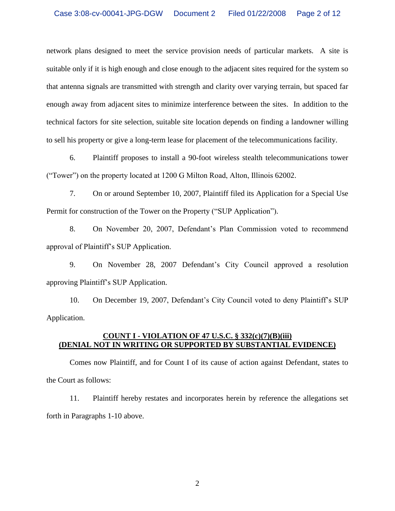network plans designed to meet the service provision needs of particular markets. A site is suitable only if it is high enough and close enough to the adjacent sites required for the system so that antenna signals are transmitted with strength and clarity over varying terrain, but spaced far enough away from adjacent sites to minimize interference between the sites. In addition to the technical factors for site selection, suitable site location depends on finding a landowner willing to sell his property or give a long-term lease for placement of the telecommunications facility.

6. Plaintiff proposes to install a 90-foot wireless stealth telecommunications tower ("Tower") on the property located at 1200 G Milton Road, Alton, Illinois 62002.

7. On or around September 10, 2007, Plaintiff filed its Application for a Special Use Permit for construction of the Tower on the Property ("SUP Application").

8. On November 20, 2007, Defendant's Plan Commission voted to recommend approval of Plaintiff's SUP Application.

9. On November 28, 2007 Defendant's City Council approved a resolution approving Plaintiff's SUP Application.

10. On December 19, 2007, Defendant's City Council voted to deny Plaintiff's SUP Application.

## **COUNT I - VIOLATION OF 47 U.S.C. § 332(c)(7)(B)(iii) (DENIAL NOT IN WRITING OR SUPPORTED BY SUBSTANTIAL EVIDENCE)**

Comes now Plaintiff, and for Count I of its cause of action against Defendant, states to the Court as follows:

11. Plaintiff hereby restates and incorporates herein by reference the allegations set forth in Paragraphs 1-10 above.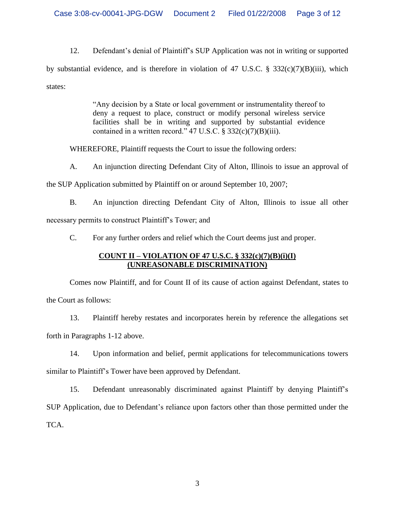12. Defendant's denial of Plaintiff's SUP Application was not in writing or supported by substantial evidence, and is therefore in violation of 47 U.S.C. § 332(c)(7)(B)(iii), which states:

> "Any decision by a State or local government or instrumentality thereof to deny a request to place, construct or modify personal wireless service facilities shall be in writing and supported by substantial evidence contained in a written record."  $47 \text{ U.S.C.}$  §  $332(c)(7)(B)(iii)$ .

WHEREFORE, Plaintiff requests the Court to issue the following orders:

A. An injunction directing Defendant City of Alton, Illinois to issue an approval of

the SUP Application submitted by Plaintiff on or around September 10, 2007;

B. An injunction directing Defendant City of Alton, Illinois to issue all other necessary permits to construct Plaintiff's Tower; and

C. For any further orders and relief which the Court deems just and proper.

# **COUNT II –VIOLATION OF 47 U.S.C. § 332(c)(7)(B)(i)(I) (UNREASONABLE DISCRIMINATION)**

Comes now Plaintiff, and for Count II of its cause of action against Defendant, states to the Court as follows:

13. Plaintiff hereby restates and incorporates herein by reference the allegations set forth in Paragraphs 1-12 above.

14. Upon information and belief, permit applications for telecommunications towers similar to Plaintiff's Tower have been approved by Defendant.

15. Defendant unreasonably discriminated against Plaintiff by denying Plaintiff's SUP Application, due to Defendant's reliance upon factors other than those permitted under the TCA.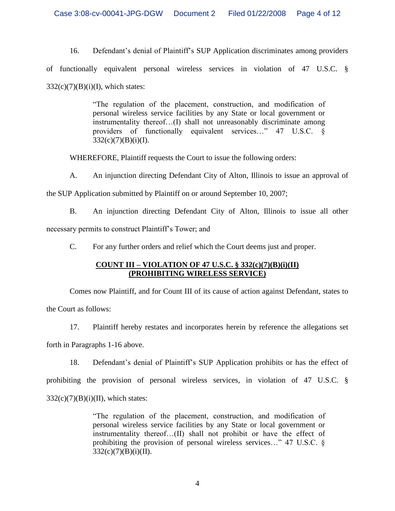16. Defendant's denial of Plaintiff's SUP Application discriminates among providers of functionally equivalent personal wireless services in violation of 47 U.S.C. §  $332(c)(7)(B)(i)(I)$ , which states:

> "The regulation of the placement, construction, and modification of personal wireless service facilities by any State or local government or instrumentality thereof... $(I)$  shall not unreasonably discriminate among providers of functionally equivalent services…" 47 U.S.C. §  $332(c)(7)(B)(i)(I).$

WHEREFORE, Plaintiff requests the Court to issue the following orders:

A. An injunction directing Defendant City of Alton, Illinois to issue an approval of

the SUP Application submitted by Plaintiff on or around September 10, 2007;

B. An injunction directing Defendant City of Alton, Illinois to issue all other necessary permits to construct Plaintiff's Tower; and

C. For any further orders and relief which the Court deems just and proper.

# **COUNT III –VIOLATION OF 47 U.S.C. § 332(c)(7)(B)(i)(II) (PROHIBITING WIRELESS SERVICE)**

Comes now Plaintiff, and for Count III of its cause of action against Defendant, states to the Court as follows:

17. Plaintiff hereby restates and incorporates herein by reference the allegations set forth in Paragraphs 1-16 above.

18. Defendant's denial of Plaintiff's SUP Application prohibits or has the effect of prohibiting the provision of personal wireless services, in violation of 47 U.S.C. §  $332(c)(7)(B)(i)(II)$ , which states:

> "The regulation of the placement, construction, and modification of personal wireless service facilities by any State or local government or instrumentality thereof...(II) shall not prohibit or have the effect of prohibiting the provision of personal wireless services..." 47 U.S.C.  $\S$  $332(c)(7)(B)(i)(II).$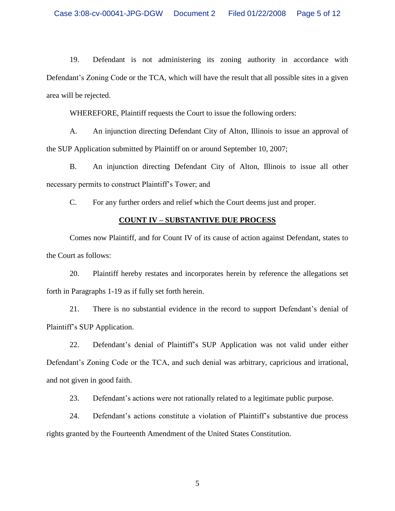19. Defendant is not administering its zoning authority in accordance with Defendant's Zoning Code or the TCA, which will have the result that all possible sites in a given area will be rejected.

WHEREFORE, Plaintiff requests the Court to issue the following orders:

A. An injunction directing Defendant City of Alton, Illinois to issue an approval of the SUP Application submitted by Plaintiff on or around September 10, 2007;

B. An injunction directing Defendant City of Alton, Illinois to issue all other necessary permits to construct Plaintiff's Tower; and

C. For any further orders and relief which the Court deems just and proper.

### **COUNT IV –SUBSTANTIVE DUE PROCESS**

Comes now Plaintiff, and for Count IV of its cause of action against Defendant, states to the Court as follows:

20. Plaintiff hereby restates and incorporates herein by reference the allegations set forth in Paragraphs 1-19 as if fully set forth herein.

21. There is no substantial evidence in the record to support Defendant's denial of Plaintiff's SUP Application.

22. Defendant's denial of Plaintiff's SUP Application was not valid under either Defendant's Zoning Code or the TCA, and such denial was arbitrary, capricious and irrational, and not given in good faith.

23. Defendant's actions were not rationally related to a legitimate public purpose.

24. Defendant's actions constitute a violation of Plaintiff's substantive due process rights granted by the Fourteenth Amendment of the United States Constitution.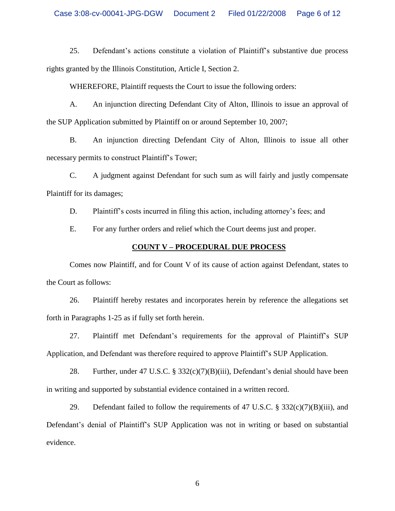25. Defendant's actions constitute a violation of Plaintiff's substantive due process rights granted by the Illinois Constitution, Article I, Section 2.

WHEREFORE, Plaintiff requests the Court to issue the following orders:

A. An injunction directing Defendant City of Alton, Illinois to issue an approval of the SUP Application submitted by Plaintiff on or around September 10, 2007;

B. An injunction directing Defendant City of Alton, Illinois to issue all other necessary permits to construct Plaintiff's Tower;

C. A judgment against Defendant for such sum as will fairly and justly compensate Plaintiff for its damages;

D. Plaintiff's costs incurred in filing this action, including attorney's fees; and

E. For any further orders and relief which the Court deems just and proper.

### **COUNT V –PROCEDURAL DUE PROCESS**

Comes now Plaintiff, and for Count V of its cause of action against Defendant, states to the Court as follows:

26. Plaintiff hereby restates and incorporates herein by reference the allegations set forth in Paragraphs 1-25 as if fully set forth herein.

27. Plaintiff met Defendant's requirements for the approval of Plaintiff's SUP Application, and Defendant was therefore required to approve Plaintiff's SUP Application.

28. Further, under 47 U.S.C.  $\S 332(c)(7)(B)(iii)$ , Defendant's denial should have been in writing and supported by substantial evidence contained in a written record.

29. Defendant failed to follow the requirements of 47 U.S.C.  $\S$  332(c)(7)(B)(iii), and Defendant's denial of Plaintiff's SUP Application was not in writing or based on substantial evidence.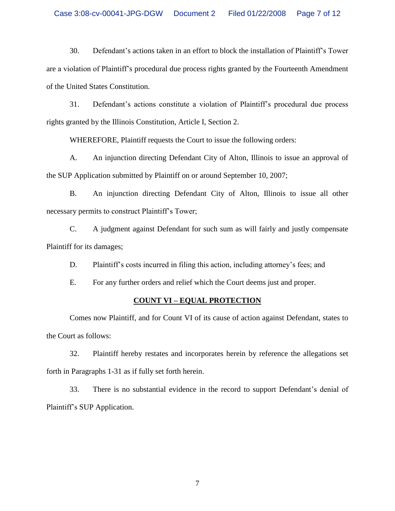30. Defendant's actions taken in an effort to block the installation of Plaintiff's Tower are a violation of Plaintiff's procedural due process rights granted by the Fourteenth Amendment of the United States Constitution.

31. Defendant's actions constitute a violation of Plaintiff's procedural due process rights granted by the Illinois Constitution, Article I, Section 2.

WHEREFORE, Plaintiff requests the Court to issue the following orders:

A. An injunction directing Defendant City of Alton, Illinois to issue an approval of the SUP Application submitted by Plaintiff on or around September 10, 2007;

B. An injunction directing Defendant City of Alton, Illinois to issue all other necessary permits to construct Plaintiff's Tower;

C. A judgment against Defendant for such sum as will fairly and justly compensate Plaintiff for its damages;

D. Plaintiff's costs incurred in filing this action, including attorney's fees; and

E. For any further orders and relief which the Court deems just and proper.

### **COUNT VI –EQUAL PROTECTION**

Comes now Plaintiff, and for Count VI of its cause of action against Defendant, states to the Court as follows:

32. Plaintiff hereby restates and incorporates herein by reference the allegations set forth in Paragraphs 1-31 as if fully set forth herein.

33. There is no substantial evidence in the record to support Defendant's denial of Plaintiff's SUP Application.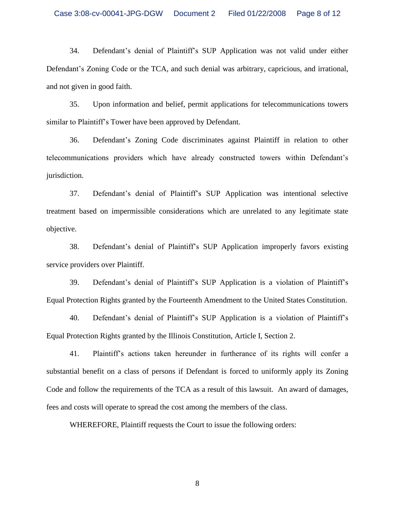34. Defendant's denial of Plaintiff's SUP Application was not valid under either Defendant's Zoning Code or the TCA, and such denial was arbitrary, capricious, and irrational, and not given in good faith.

35. Upon information and belief, permit applications for telecommunications towers similar to Plaintiff's Tower have been approved by Defendant.

36. Defendant'sZoning Code discriminates against Plaintiff in relation to other telecommunications providers which have already constructed towers within Defendant's jurisdiction.

37. Defendant's denial of Plaintiff's SUP Application was intentional selective treatment based on impermissible considerations which are unrelated to any legitimate state objective.

38. Defendant's denial of Plaintiff's SUP Application improperly favors existing service providers over Plaintiff.

39. Defendant's denial of Plaintiff's SUP Application is a violation of Plaintiff's Equal Protection Rights granted by the Fourteenth Amendment to the United States Constitution.

40. Defendant's denial of Plaintiff's SUP Application is a violation of Plaintiff's Equal Protection Rights granted by the Illinois Constitution, Article I, Section 2.

41. Plaintiff's actions taken hereunder in furtherance of its rights will confer a substantial benefit on a class of persons if Defendant is forced to uniformly apply its Zoning Code and follow the requirements of the TCA as a result of this lawsuit. An award of damages, fees and costs will operate to spread the cost among the members of the class.

WHEREFORE, Plaintiff requests the Court to issue the following orders: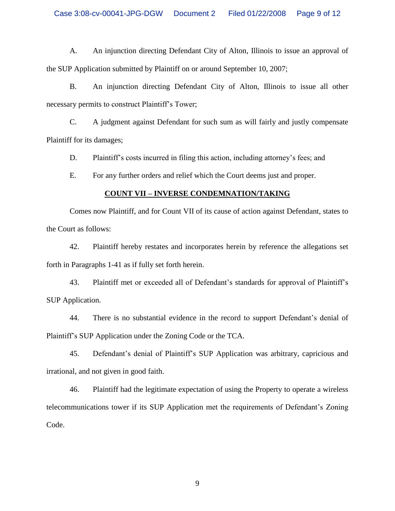### Case 3:08-cv-00041-JPG-DGW Document 2 Filed 01/22/2008 Page 9 of 12

A. An injunction directing Defendant City of Alton, Illinois to issue an approval of the SUP Application submitted by Plaintiff on or around September 10, 2007;

B. An injunction directing Defendant City of Alton, Illinois to issue all other necessary permits to construct Plaintiff's Tower;

C. A judgment against Defendant for such sum as will fairly and justly compensate Plaintiff for its damages;

D. Plaintiff's costs incurred in filing this action, including attorney's fees; and

E. For any further orders and relief which the Court deems just and proper.

### **COUNT VII –INVERSE CONDEMNATION/TAKING**

Comes now Plaintiff, and for Count VII of its cause of action against Defendant, states to the Court as follows:

42. Plaintiff hereby restates and incorporates herein by reference the allegations set forth in Paragraphs 1-41 as if fully set forth herein.

43. Plaintiff met or exceeded all of Defendant's standards for approval of Plaintiff's SUP Application.

44. There is no substantial evidence in the record to support Defendant's denial of Plaintiff's SUP Application under the Zoning Code or the TCA.

45. Defendant's denial of Plaintiff's SUP Application was arbitrary, capricious and irrational, and not given in good faith.

46. Plaintiff had the legitimate expectation of using the Property to operate a wireless telecommunications tower if its SUP Application met the requirements of Defendant's Zoning Code.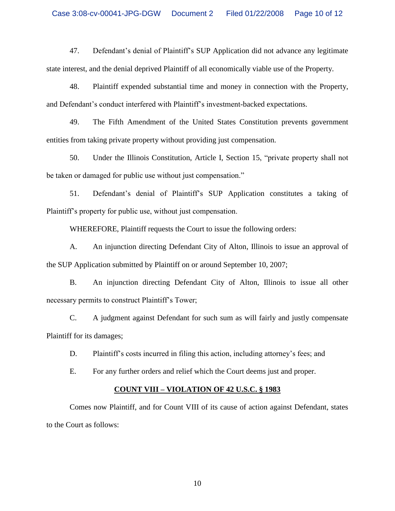47. Defendant's denial of Plaintiff's SUP Application did not advance any legitimate state interest, and the denial deprived Plaintiff of all economically viable use of the Property.

48. Plaintiff expended substantial time and money in connection with the Property, and Defendant's conduct interfered with Plaintiff's investment-backed expectations.

49. The Fifth Amendment of the United States Constitution prevents government entities from taking private property without providing just compensation.

50. Under the Illinois Constitution, Article I, Section 15, "private property shall not be taken or damaged for publicuse without just compensation."

51. Defendant's denial of Plaintiff's SUP Application constitutes a taking of Plaintiff's property for public use, without just compensation.

WHEREFORE, Plaintiff requests the Court to issue the following orders:

A. An injunction directing Defendant City of Alton, Illinois to issue an approval of the SUP Application submitted by Plaintiff on or around September 10, 2007;

B. An injunction directing Defendant City of Alton, Illinois to issue all other necessary permits to construct Plaintiff's Tower;

C. A judgment against Defendant for such sum as will fairly and justly compensate Plaintiff for its damages;

D. Plaintiff's costs incurred in filing this action, including attorney's fees; and

E. For any further orders and relief which the Court deems just and proper.

### **COUNT VIII –VIOLATION OF 42 U.S.C. § 1983**

Comes now Plaintiff, and for Count VIII of its cause of action against Defendant, states to the Court as follows: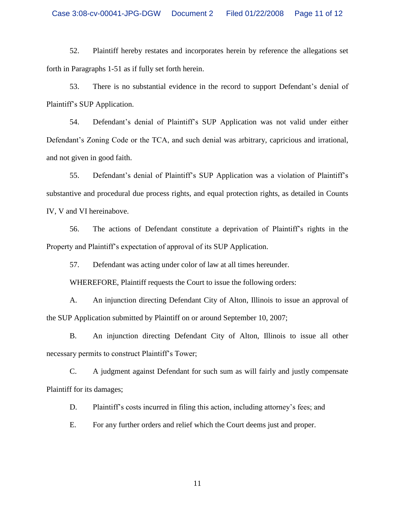52. Plaintiff hereby restates and incorporates herein by reference the allegations set forth in Paragraphs 1-51 as if fully set forth herein.

53. There is no substantial evidence in the record to support Defendant's denial of Plaintiff's SUP Application.

54. Defendant's denial of Plaintiff's SUP Application was not valid under either Defendant's Zoning Code or the TCA, and such denial was arbitrary, capricious and irrational, and not given in good faith.

55. Defendant's denial of Plaintiff's SUP Application was a violation of Plaintiff's substantive and procedural due process rights, and equal protection rights, as detailed in Counts IV, V and VI hereinabove.

56. The actions of Defendant constitute a deprivation of Plaintiff's rights in the Property and Plaintiff's expectation of approval of its SUP Application.

57. Defendant was acting under color of law at all times hereunder.

WHEREFORE, Plaintiff requests the Court to issue the following orders:

A. An injunction directing Defendant City of Alton, Illinois to issue an approval of the SUP Application submitted by Plaintiff on or around September 10, 2007;

B. An injunction directing Defendant City of Alton, Illinois to issue all other necessary permits to construct Plaintiff's Tower;

C. A judgment against Defendant for such sum as will fairly and justly compensate Plaintiff for its damages;

D. Plaintiff's costs incurred in filing this action, including attorney's fees; and

E. For any further orders and relief which the Court deems just and proper.